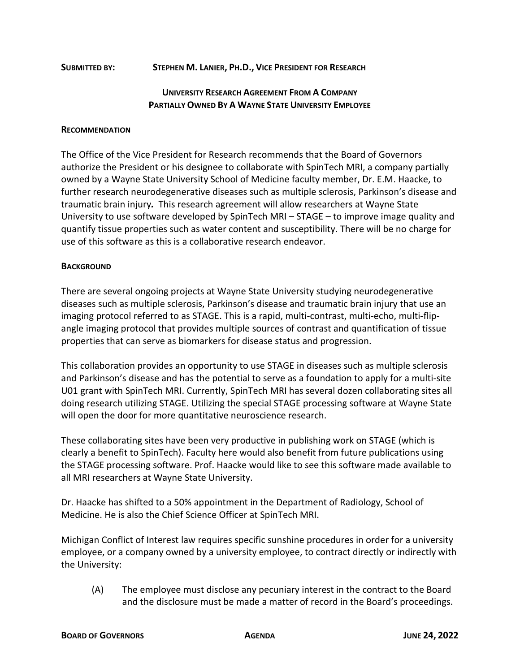## **SUBMITTED BY: STEPHEN M. LANIER, PH.D., VICE PRESIDENT FOR RESEARCH**

## **UNIVERSITY RESEARCH AGREEMENT FROM A COMPANY PARTIALLY OWNED BY A WAYNE STATE UNIVERSITY EMPLOYEE**

## **RECOMMENDATION**

The Office of the Vice President for Research recommends that the Board of Governors authorize the President or his designee to collaborate with SpinTech MRI, a company partially owned by a Wayne State University School of Medicine faculty member, Dr. E.M. Haacke, to further research neurodegenerative diseases such as multiple sclerosis, Parkinson's disease and traumatic brain injury*.* This research agreement will allow researchers at Wayne State University to use software developed by SpinTech MRI – STAGE – to improve image quality and quantify tissue properties such as water content and susceptibility. There will be no charge for use of this software as this is a collaborative research endeavor.

## **BACKGROUND**

There are several ongoing projects at Wayne State University studying neurodegenerative diseases such as multiple sclerosis, Parkinson's disease and traumatic brain injury that use an imaging protocol referred to as STAGE. This is a rapid, multi-contrast, multi-echo, multi-flipangle imaging protocol that provides multiple sources of contrast and quantification of tissue properties that can serve as biomarkers for disease status and progression.

This collaboration provides an opportunity to use STAGE in diseases such as multiple sclerosis and Parkinson's disease and has the potential to serve as a foundation to apply for a multi-site U01 grant with SpinTech MRI. Currently, SpinTech MRI has several dozen collaborating sites all doing research utilizing STAGE. Utilizing the special STAGE processing software at Wayne State will open the door for more quantitative neuroscience research.

These collaborating sites have been very productive in publishing work on STAGE (which is clearly a benefit to SpinTech). Faculty here would also benefit from future publications using the STAGE processing software. Prof. Haacke would like to see this software made available to all MRI researchers at Wayne State University.

Dr. Haacke has shifted to a 50% appointment in the Department of Radiology, School of Medicine. He is also the Chief Science Officer at SpinTech MRI.

Michigan Conflict of Interest law requires specific sunshine procedures in order for a university employee, or a company owned by a university employee, to contract directly or indirectly with the University:

(A) The employee must disclose any pecuniary interest in the contract to the Board and the disclosure must be made a matter of record in the Board's proceedings.